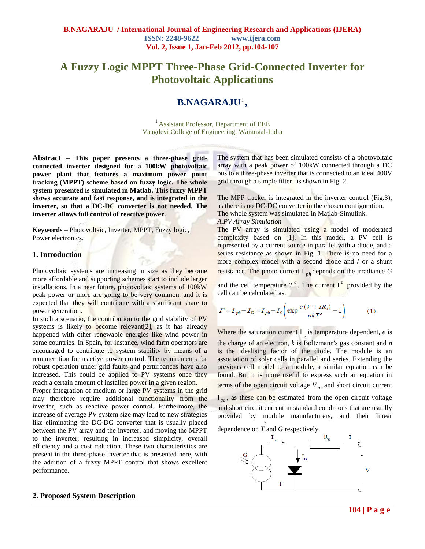# **A Fuzzy Logic MPPT Three-Phase Grid-Connected Inverter for Photovoltaic Applications**

# **B.NAGARAJU** 1 **,**

<sup>1</sup> Assistant Professor, Department of EEE Vaagdevi College of Engineering, Warangal-India

**Abstract – This paper presents a three-phase gridconnected inverter designed for a 100kW photovoltaic power plant that features a maximum power point tracking (MPPT) scheme based on fuzzy logic. The whole system presented is simulated in Matlab. This fuzzy MPPT shows accurate and fast response, and is integrated in the inverter, so that a DC-DC converter is not needed. The inverter allows full control of reactive power.**

**Keywords** – Photovoltaic, Inverter, MPPT, Fuzzy logic, Power electronics.

#### **1. Introduction**

Photovoltaic systems are increasing in size as they become more affordable and supporting schemes start to include larger installations. In a near future, photovoltaic systems of 100kW peak power or more are going to be very common, and it is expected that they will contribute with a significant share to power generation.

In such a scenario, the contribution to the grid stability of PV systems is likely to become relevant[2], as it has already happened with other renewable energies like wind power in some countries. In Spain, for instance, wind farm operators are encouraged to contribute to system stability by means of a remuneration for reactive power control. The requirements for robust operation under grid faults and perturbances have also increased. This could be applied to PV systems once they reach a certain amount of installed power in a given region.

Proper integration of medium or large PV systems in the grid may therefore require additional functionality from the inverter, such as reactive power control. Furthermore, the increase of average PV system size may lead to new strategies like eliminating the DC-DC converter that is usually placed between the PV array and the inverter, and moving the MPPT to the inverter, resulting in increased simplicity, overall efficiency and a cost reduction. These two characteristics are present in the three-phase inverter that is presented here, with the addition of a fuzzy MPPT control that shows excellent performance.

The system that has been simulated consists of a photovoltaic array with a peak power of 100kW connected through a DC bus to a three-phase inverter that is connected to an ideal 400V grid through a simple filter, as shown in Fig. 2.

The MPP tracker is integrated in the inverter control (Fig.3), as there is no DC-DC converter in the chosen configuration. The whole system was simulated in Matlab-Simulink. *A.PV Array Simulation*

The PV array is simulated using a model of moderated complexity based on [1]. In this model, a PV cell is represented by a current source in parallel with a diode, and a series resistance as shown in Fig. 1. There is no need for a more complex model with a second diode and / or a shunt resistance. The photo current I *ph* depends on the irradiance *G* 

and the cell temperature  $T^c$ . The current  $I^c$  provided by the cell can be calculated as:

$$
I^{c} = I_{ph} - I_{D} = I_{ph} - I_{0} \left( \exp \frac{e(V + IR_{s})}{nkT^{c}} - 1 \right)
$$
 (1)

Where the saturation current  $I_{\rho}$  is temperature dependent, *e* is the charge of an electron, *k* is Boltzmann's gas constant and *n*  is the idealising factor of the diode. The module is an association of solar cells in parallel and series. Extending the previous cell model to a module, a similar equation can be found. But it is more useful to express such an equation in terms of the open circuit voltage *V oc* and short circuit current

 $I_{sc}$ , as these can be estimated from the open circuit voltage and short circuit current in standard conditions that are usually provided by module manufacturers, and their linear *c*

dependence on *T* and *G* respectively.



#### **2. Proposed System Description**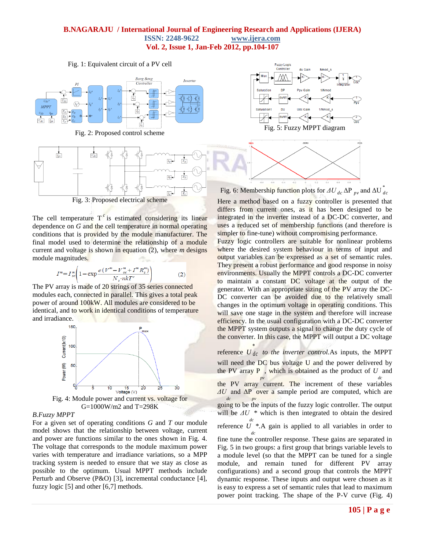### **B.NAGARAJU / International Journal of Engineering Research and Applications (IJERA) ISSN: 2248-9622 www.ijera.com Vol. 2, Issue 1, Jan-Feb 2012, pp.104-107**





Fig. 2: Proposed control scheme



Fig. 3: Proposed electrical scheme

The cell temperature  $T^c$  is estimated considering its linear dependence on *G* and the cell temperature in normal operating conditions that is provided by the module manufacturer. The final model used to determine the relationship of a module current and voltage is shown in equation (2), where *m* designs module magnitudes.

$$
I^{m} = I^{m}_{se} \left( 1 - \exp \frac{e(V^{m} - V^{m}_{oe} + I^{m} R^{m}_{s})}{N_{s} \cdot nkT^{c}} \right) \tag{2}
$$

The PV array is made of 20 strings of 35 series connected modules each, connected in parallel. This gives a total peak power of around 100kW. All modules are considered to be identical, and to work in identical conditions of temperature and irradiance.



#### *B.Fuzzy MPPT*

For a given set of operating conditions *G* and *T* our module model shows that the relationship between voltage, current and power are functions similar to the ones shown in Fig. 4. The voltage that corresponds to the module maximum power varies with temperature and irradiance variations, so a MPP tracking system is needed to ensure that we stay as close as possible to the optimum. Usual MPPT methods include Perturb and Observe (P&O) [3], incremental conductance [4], fuzzy logic [5] and other [6,7] methods.



Fig. 6: Membership function plots for  $\Delta U_{dc} \Delta P_{pv}$  and  $\Delta U_{d}^*$ *dc*

Here a method based on a fuzzy controller is presented that differs from current ones, as it has been designed to be integrated in the inverter instead of a DC-DC converter, and uses a reduced set of membership functions (and therefore is simpler to fine-tune) without compromising performance.

Fuzzy logic controllers are suitable for nonlinear problems where the desired system behaviour in terms of input and output variables can be expressed as a set of semantic rules. They present a robust performance and good response in noisy environments. Usually the MPPT controls a DC-DC converter to maintain a constant DC voltage at the output of the generator. With an appropriate sizing of the PV array the DC-DC converter can be avoided due to the relatively small changes in the optimum voltage in operating conditions. This will save one stage in the system and therefore will increase efficiency. In the usual configuration with a DC-DC converter the MPPT system outputs a signal to change the duty cycle of the converter. In this case, the MPPT will output a DC voltage

reference *U dc to the inverter control.*As inputs, the MPPT \* will need the DC bus voltage U and the power delivered by the PV array  $P$ , which is obtained as the product of  $U$  and the PV array current. The increment of these variables *ΔU* and ΔP over a sample period are computed, which are *dc pv*going to be the inputs of the fuzzy logic controller. The output will be  $\Delta U$  \* which is then integrated to obtain the desired reference  $U^*$ <sup>dc</sup> \*.A gain is applied to all variables in order to *dc* fine tune the controller response. These gains are separated in Fig. 5 in two groups: a first group that brings variable levels to a module level (so that the MPPT can be tuned for a single module, and remain tuned for different PV array configurations) and a second group that controls the MPPT dynamic response. These inputs and output were chosen as it is easy to express a set of semantic rules that lead to maximum power point tracking. The shape of the P-V curve (Fig. 4)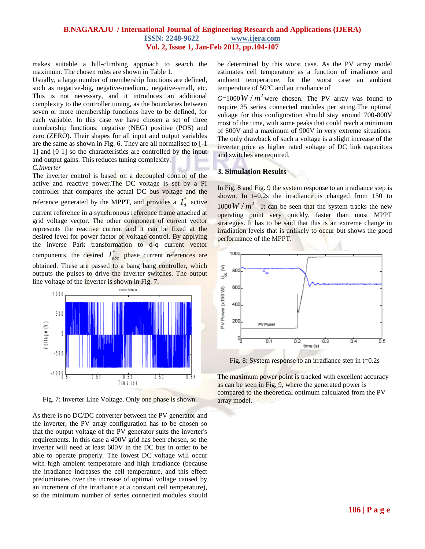#### **B.NAGARAJU / International Journal of Engineering Research and Applications (IJERA) ISSN: 2248-9622 www.ijera.com Vol. 2, Issue 1, Jan-Feb 2012, pp.104-107**

makes suitable a hill-climbing approach to search the maximum. The chosen rules are shown in Table 1.

Usually, a large number of membership functions are defined, such as negative-big, negative-medium,, negative-small, etc. This is not necessary, and it introduces an additional complexity to the controller tuning, as the boundaries between seven or more membership functions have to be defined, for each variable. In this case we have chosen a set of three membership functions: negative (NEG) positive (POS) and zero (ZERO). Their shapes for all input and output variables are the same as shown in Fig. 6. They are all normalised to [-1 1] and [0 1] so the characteristics are controlled by the input and output gains. This reduces tuning complexity. *C.Inverter*

The inverter control is based on a decoupled control of the active and reactive power.The DC voltage is set by a PI controller that compares the actual DC bus voltage and the reference generated by the MPPT, and provides a  $\overrightarrow{I}_d$  $I_d^*$  active current reference in a synchronous reference frame attached at grid voltage vector. The other component of current vector represents the reactive current and it can be fixed at the desired level for power factor or voltage control. By applying the inverse Park transformation to d-q current vector components, the desired  $I_{abc}^*$  phase current references are obtained. These are passed to a bang bang controller, which outputs the pulses to drive the inverter switches. The output line voltage of the inverter is shown in Fig. 7.



Fig. 7: Inverter Line Voltage. Only one phase is shown.

As there is no DC/DC converter between the PV generator and the inverter, the PV array configuration has to be chosen so that the output voltage of the PV generator suits the inverter's requirements. In this case a 400V grid has been chosen, so the inverter will need at least 600V in the DC bus in order to be able to operate properly. The lowest DC voltage will occur with high ambient temperature and high irradiance (because the irradiance increases the cell temperature, and this effect predominates over the increase of optimal voltage caused by an increment of the irradiance at a constant cell temperature), so the minimum number of series connected modules should

be determined by this worst case. As the PV array model estimates cell temperature as a function of irradiance and ambient temperature, for the worst case an ambient temperature of 50ºC and an irradiance of

 $G=1000 W/m^2$  were chosen. The PV array was found to require 35 series connected modules per string.The optimal voltage for this configuration should stay around 700-800V most of the time, with some peaks that could reach a minimum of 600V and a maximum of 900V in very extreme situations. The only drawback of such a voltage is a slight increase of the inverter price as higher rated voltage of DC link capacitors and switches are required.

## **3. Simulation Results**

In Fig. 8 and Fig. 9 the system response to an irradiance step is shown. In  $t=0.2$ s the irradiance is changed from 150 to  $1000 W/m^2$  It can be seen that the system tracks the new operating point very quickly, faster than most MPPT strategies. It has to be said that this is an extreme change in irradiation levels that is unlikely to occur but shows the good performance of the MPPT.



Fig. 8: System response to an irradiance step in t=0.2s

The maximum power point is tracked with excellent accuracy as can be seen in Fig. 9, where the generated power is compared to the theoretical optimum calculated from the PV array model.